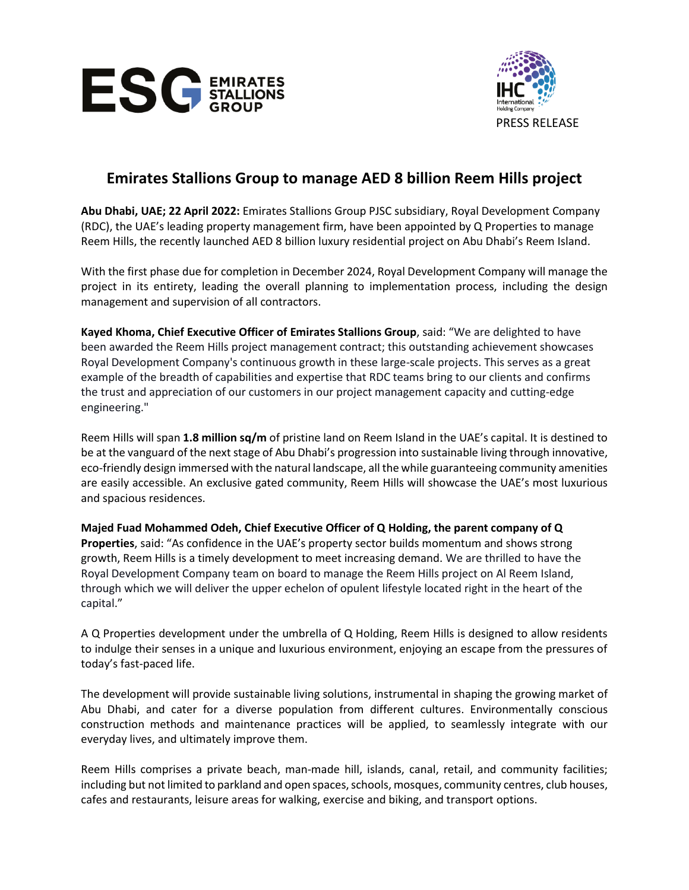



# **Emirates Stallions Group to manage AED 8 billion Reem Hills project**

**Abu Dhabi, UAE; 22 April 2022:** Emirates Stallions Group PJSC subsidiary, Royal Development Company (RDC), the UAE's leading property management firm, have been appointed by Q Properties to manage Reem Hills, the recently launched AED 8 billion luxury residential project on Abu Dhabi's Reem Island.

With the first phase due for completion in December 2024, Royal Development Company will manage the project in its entirety, leading the overall planning to implementation process, including the design management and supervision of all contractors.

**Kayed Khoma, Chief Executive Officer of Emirates Stallions Group**, said: "We are delighted to have been awarded the Reem Hills project management contract; this outstanding achievement showcases Royal Development Company's continuous growth in these large-scale projects. This serves as a great example of the breadth of capabilities and expertise that RDC teams bring to our clients and confirms the trust and appreciation of our customers in our project management capacity and cutting-edge engineering."

Reem Hills will span **1.8 million sq/m** of pristine land on Reem Island in the UAE's capital. It is destined to be at the vanguard of the next stage of Abu Dhabi's progression into sustainable living through innovative, eco-friendly design immersed with the natural landscape, all the while guaranteeing community amenities are easily accessible. An exclusive gated community, Reem Hills will showcase the UAE's most luxurious and spacious residences.

**Majed Fuad Mohammed Odeh, Chief Executive Officer of Q Holding, the parent company of Q Properties**, said: "As confidence in the UAE's property sector builds momentum and shows strong growth, Reem Hills is a timely development to meet increasing demand. We are thrilled to have the Royal Development Company team on board to manage the Reem Hills project on Al Reem Island, through which we will deliver the upper echelon of opulent lifestyle located right in the heart of the capital."

A Q Properties development under the umbrella of Q Holding, Reem Hills is designed to allow residents to indulge their senses in a unique and luxurious environment, enjoying an escape from the pressures of today's fast-paced life.

The development will provide sustainable living solutions, instrumental in shaping the growing market of Abu Dhabi, and cater for a diverse population from different cultures. Environmentally conscious construction methods and maintenance practices will be applied, to seamlessly integrate with our everyday lives, and ultimately improve them.

Reem Hills comprises a private beach, man-made hill, islands, canal, retail, and community facilities; including but not limited to parkland and open spaces, schools, mosques, community centres, club houses, cafes and restaurants, leisure areas for walking, exercise and biking, and transport options.